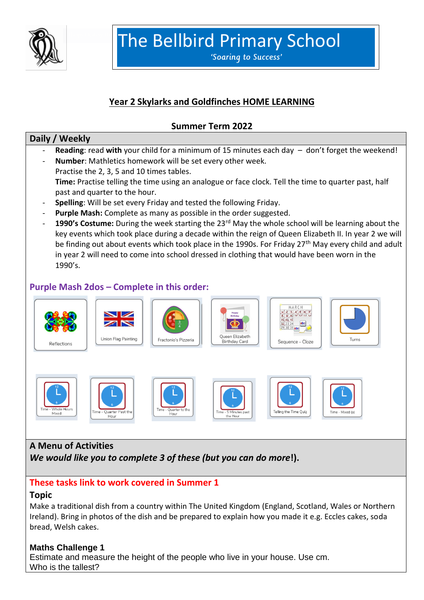

The Bellbird Primary School

'Soaring to Success'

# **Year 2 Skylarks and Goldfinches HOME LEARNING**

### **Summer Term 2022**

#### **Daily / Weekly**

- Reading: read with your child for a minimum of 15 minutes each day don't forget the weekend!
- **Number**: Mathletics homework will be set every other week.
- Practise the 2, 3, 5 and 10 times tables. **Time:** Practise telling the time using an analogue or face clock. Tell the time to quarter past, half past and quarter to the hour.
- **Spelling**: Will be set every Friday and tested the following Friday.
- **Purple Mash:** Complete as many as possible in the order suggested.
- **1990's Costume:** During the week starting the 23rd May the whole school will be learning about the key events which took place during a decade within the reign of Queen Elizabeth II. In year 2 we will be finding out about events which took place in the 1990s. For Friday 27<sup>th</sup> May every child and adult in year 2 will need to come into school dressed in clothing that would have been worn in the 1990's.

#### **Purple Mash 2dos – Complete in this order:**



#### **A Menu of Activities**

*We would like you to complete 3 of these (but you can do more***!).**

# **These tasks link to work covered in Summer 1**

#### **Topic**

Make a traditional dish from a country within The United Kingdom (England, Scotland, Wales or Northern Ireland). Bring in photos of the dish and be prepared to explain how you made it e.g. Eccles cakes, soda bread, Welsh cakes.

#### **Maths Challenge 1**

Estimate and measure the height of the people who live in your house. Use cm. Who is the tallest?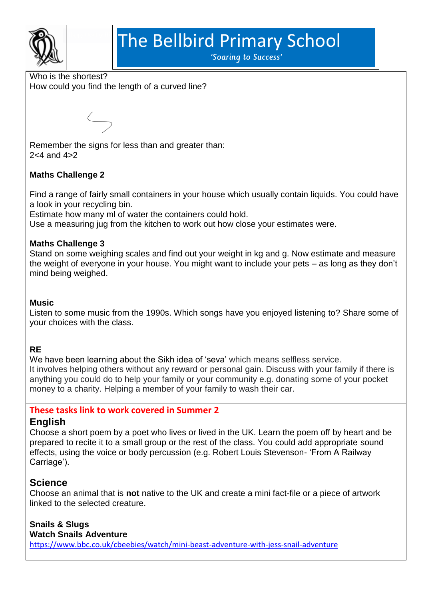

# The Bellbird Primary School

'Soaring to Success'

Who is the shortest? How could you find the length of a curved line?

Remember the signs for less than and greater than: 2<4 and 4>2

## **Maths Challenge 2**

Find a range of fairly small containers in your house which usually contain liquids. You could have a look in your recycling bin.

Estimate how many ml of water the containers could hold.

Use a measuring jug from the kitchen to work out how close your estimates were.

#### **Maths Challenge 3**

Stand on some weighing scales and find out your weight in kg and g. Now estimate and measure the weight of everyone in your house. You might want to include your pets – as long as they don't mind being weighed.

#### **Music**

Listen to some music from the 1990s. Which songs have you enjoyed listening to? Share some of your choices with the class.

#### **RE**

We have been learning about the Sikh idea of 'seva' which means selfless service. It involves helping others without any reward or personal gain. Discuss with your family if there is anything you could do to help your family or your community e.g. donating some of your pocket money to a charity. Helping a member of your family to wash their car.

#### **These tasks link to work covered in Summer 2**

#### **English**

Choose a short poem by a poet who lives or lived in the UK. Learn the poem off by heart and be prepared to recite it to a small group or the rest of the class. You could add appropriate sound effects, using the voice or body percussion (e.g. Robert Louis Stevenson- 'From A Railway Carriage').

# **Science**

Choose an animal that is **not** native to the UK and create a mini fact-file or a piece of artwork linked to the selected creature.

# **Snails & Slugs**

#### **Watch Snails Adventure**

<https://www.bbc.co.uk/cbeebies/watch/mini-beast-adventure-with-jess-snail-adventure>